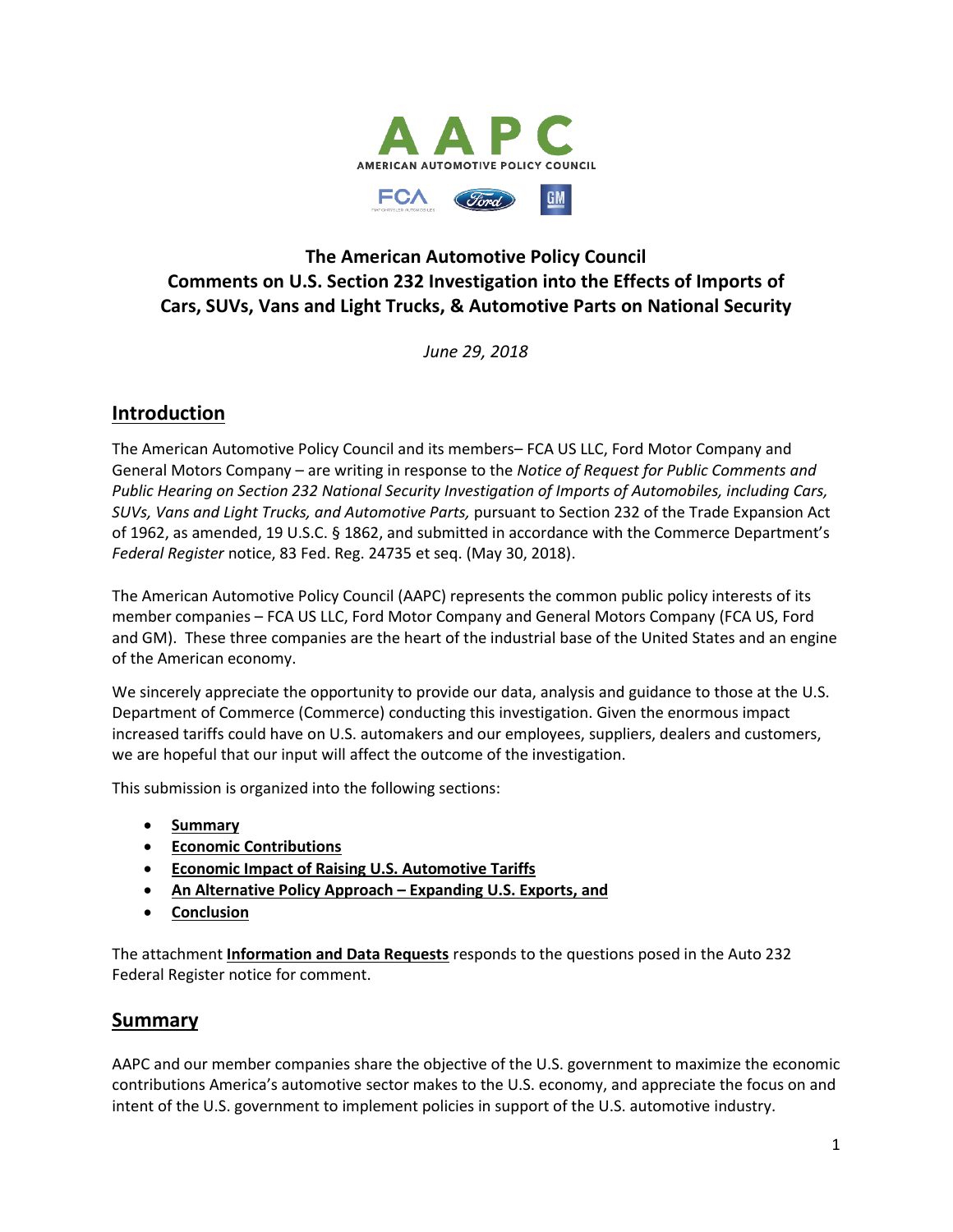

# **The American Automotive Policy Council Comments on U.S. Section 232 Investigation into the Effects of Imports of Cars, SUVs, Vans and Light Trucks, & Automotive Parts on National Security**

*June 29, 2018*

# **Introduction**

The American Automotive Policy Council and its members– FCA US LLC, Ford Motor Company and General Motors Company – are writing in response to the *Notice of Request for Public Comments and Public Hearing on Section 232 National Security Investigation of Imports of Automobiles, including Cars, SUVs, Vans and Light Trucks, and Automotive Parts,* pursuant to Section 232 of the Trade Expansion Act of 1962, as amended, 19 U.S.C. § 1862, and submitted in accordance with the Commerce Department's *Federal Register* notice, 83 Fed. Reg. 24735 et seq. (May 30, 2018).

The American Automotive Policy Council (AAPC) represents the common public policy interests of its member companies – FCA US LLC, Ford Motor Company and General Motors Company (FCA US, Ford and GM). These three companies are the heart of the industrial base of the United States and an engine of the American economy.

We sincerely appreciate the opportunity to provide our data, analysis and guidance to those at the U.S. Department of Commerce (Commerce) conducting this investigation. Given the enormous impact increased tariffs could have on U.S. automakers and our employees, suppliers, dealers and customers, we are hopeful that our input will affect the outcome of the investigation.

This submission is organized into the following sections:

- **Summary**
- **Economic Contributions**
- **Economic Impact of Raising U.S. Automotive Tariffs**
- **An Alternative Policy Approach – Expanding U.S. Exports, and**
- **Conclusion**

The attachment **Information and Data Requests** responds to the questions posed in the Auto 232 Federal Register notice for comment.

# **Summary**

AAPC and our member companies share the objective of the U.S. government to maximize the economic contributions America's automotive sector makes to the U.S. economy, and appreciate the focus on and intent of the U.S. government to implement policies in support of the U.S. automotive industry.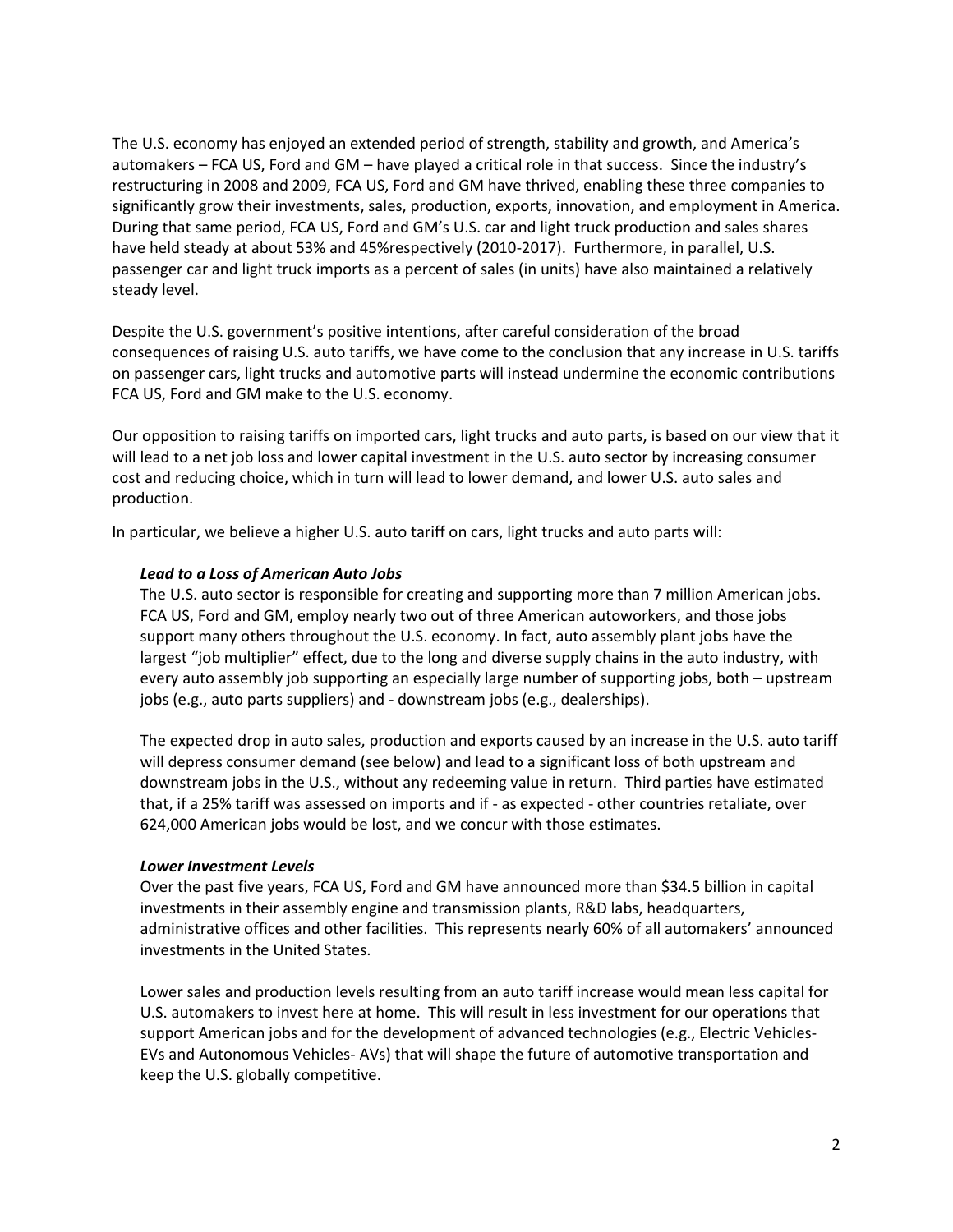The U.S. economy has enjoyed an extended period of strength, stability and growth, and America's automakers – FCA US, Ford and GM – have played a critical role in that success. Since the industry's restructuring in 2008 and 2009, FCA US, Ford and GM have thrived, enabling these three companies to significantly grow their investments, sales, production, exports, innovation, and employment in America. During that same period, FCA US, Ford and GM's U.S. car and light truck production and sales shares have held steady at about 53% and 45%respectively (2010-2017). Furthermore, in parallel, U.S. passenger car and light truck imports as a percent of sales (in units) have also maintained a relatively steady level.

Despite the U.S. government's positive intentions, after careful consideration of the broad consequences of raising U.S. auto tariffs, we have come to the conclusion that any increase in U.S. tariffs on passenger cars, light trucks and automotive parts will instead undermine the economic contributions FCA US, Ford and GM make to the U.S. economy.

Our opposition to raising tariffs on imported cars, light trucks and auto parts, is based on our view that it will lead to a net job loss and lower capital investment in the U.S. auto sector by increasing consumer cost and reducing choice, which in turn will lead to lower demand, and lower U.S. auto sales and production.

In particular, we believe a higher U.S. auto tariff on cars, light trucks and auto parts will:

### *Lead to a Loss of American Auto Jobs*

The U.S. auto sector is responsible for creating and supporting more than 7 million American jobs. FCA US, Ford and GM, employ nearly two out of three American autoworkers, and those jobs support many others throughout the U.S. economy. In fact, auto assembly plant jobs have the largest "job multiplier" effect, due to the long and diverse supply chains in the auto industry, with every auto assembly job supporting an especially large number of supporting jobs, both – upstream jobs (e.g., auto parts suppliers) and - downstream jobs (e.g., dealerships).

The expected drop in auto sales, production and exports caused by an increase in the U.S. auto tariff will depress consumer demand (see below) and lead to a significant loss of both upstream and downstream jobs in the U.S., without any redeeming value in return. Third parties have estimated that, if a 25% tariff was assessed on imports and if - as expected - other countries retaliate, over 624,000 American jobs would be lost, and we concur with those estimates.

#### *Lower Investment Levels*

Over the past five years, FCA US, Ford and GM have announced more than \$34.5 billion in capital investments in their assembly engine and transmission plants, R&D labs, headquarters, administrative offices and other facilities. This represents nearly 60% of all automakers' announced investments in the United States.

Lower sales and production levels resulting from an auto tariff increase would mean less capital for U.S. automakers to invest here at home. This will result in less investment for our operations that support American jobs and for the development of advanced technologies (e.g., Electric Vehicles-EVs and Autonomous Vehicles- AVs) that will shape the future of automotive transportation and keep the U.S. globally competitive.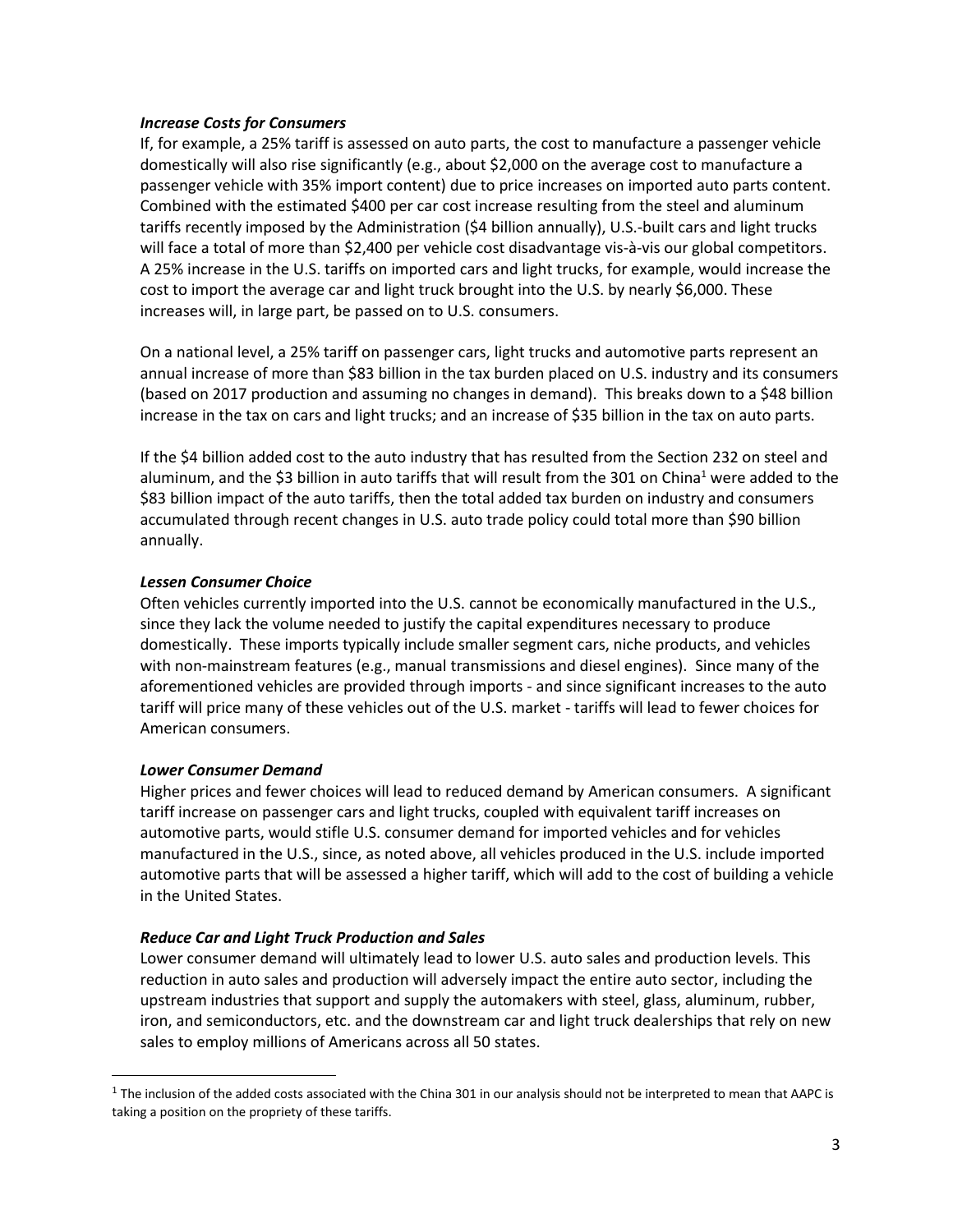#### *Increase Costs for Consumers*

If, for example, a 25% tariff is assessed on auto parts, the cost to manufacture a passenger vehicle domestically will also rise significantly (e.g., about \$2,000 on the average cost to manufacture a passenger vehicle with 35% import content) due to price increases on imported auto parts content. Combined with the estimated \$400 per car cost increase resulting from the steel and aluminum tariffs recently imposed by the Administration (\$4 billion annually), U.S.-built cars and light trucks will face a total of more than \$2,400 per vehicle cost disadvantage vis-à-vis our global competitors. A 25% increase in the U.S. tariffs on imported cars and light trucks, for example, would increase the cost to import the average car and light truck brought into the U.S. by nearly \$6,000. These increases will, in large part, be passed on to U.S. consumers.

On a national level, a 25% tariff on passenger cars, light trucks and automotive parts represent an annual increase of more than \$83 billion in the tax burden placed on U.S. industry and its consumers (based on 2017 production and assuming no changes in demand). This breaks down to a \$48 billion increase in the tax on cars and light trucks; and an increase of \$35 billion in the tax on auto parts.

If the \$4 billion added cost to the auto industry that has resulted from the Section 232 on steel and aluminum, and the \$3 billion in auto tariffs that will result from the 301 on China<sup>1</sup> were added to the \$83 billion impact of the auto tariffs, then the total added tax burden on industry and consumers accumulated through recent changes in U.S. auto trade policy could total more than \$90 billion annually.

### *Lessen Consumer Choice*

Often vehicles currently imported into the U.S. cannot be economically manufactured in the U.S., since they lack the volume needed to justify the capital expenditures necessary to produce domestically. These imports typically include smaller segment cars, niche products, and vehicles with non-mainstream features (e.g., manual transmissions and diesel engines). Since many of the aforementioned vehicles are provided through imports - and since significant increases to the auto tariff will price many of these vehicles out of the U.S. market - tariffs will lead to fewer choices for American consumers.

### *Lower Consumer Demand*

 $\overline{\phantom{a}}$ 

Higher prices and fewer choices will lead to reduced demand by American consumers. A significant tariff increase on passenger cars and light trucks, coupled with equivalent tariff increases on automotive parts, would stifle U.S. consumer demand for imported vehicles and for vehicles manufactured in the U.S., since, as noted above, all vehicles produced in the U.S. include imported automotive parts that will be assessed a higher tariff, which will add to the cost of building a vehicle in the United States.

### *Reduce Car and Light Truck Production and Sales*

Lower consumer demand will ultimately lead to lower U.S. auto sales and production levels. This reduction in auto sales and production will adversely impact the entire auto sector, including the upstream industries that support and supply the automakers with steel, glass, aluminum, rubber, iron, and semiconductors, etc. and the downstream car and light truck dealerships that rely on new sales to employ millions of Americans across all 50 states.

 $^1$  The inclusion of the added costs associated with the China 301 in our analysis should not be interpreted to mean that AAPC is taking a position on the propriety of these tariffs.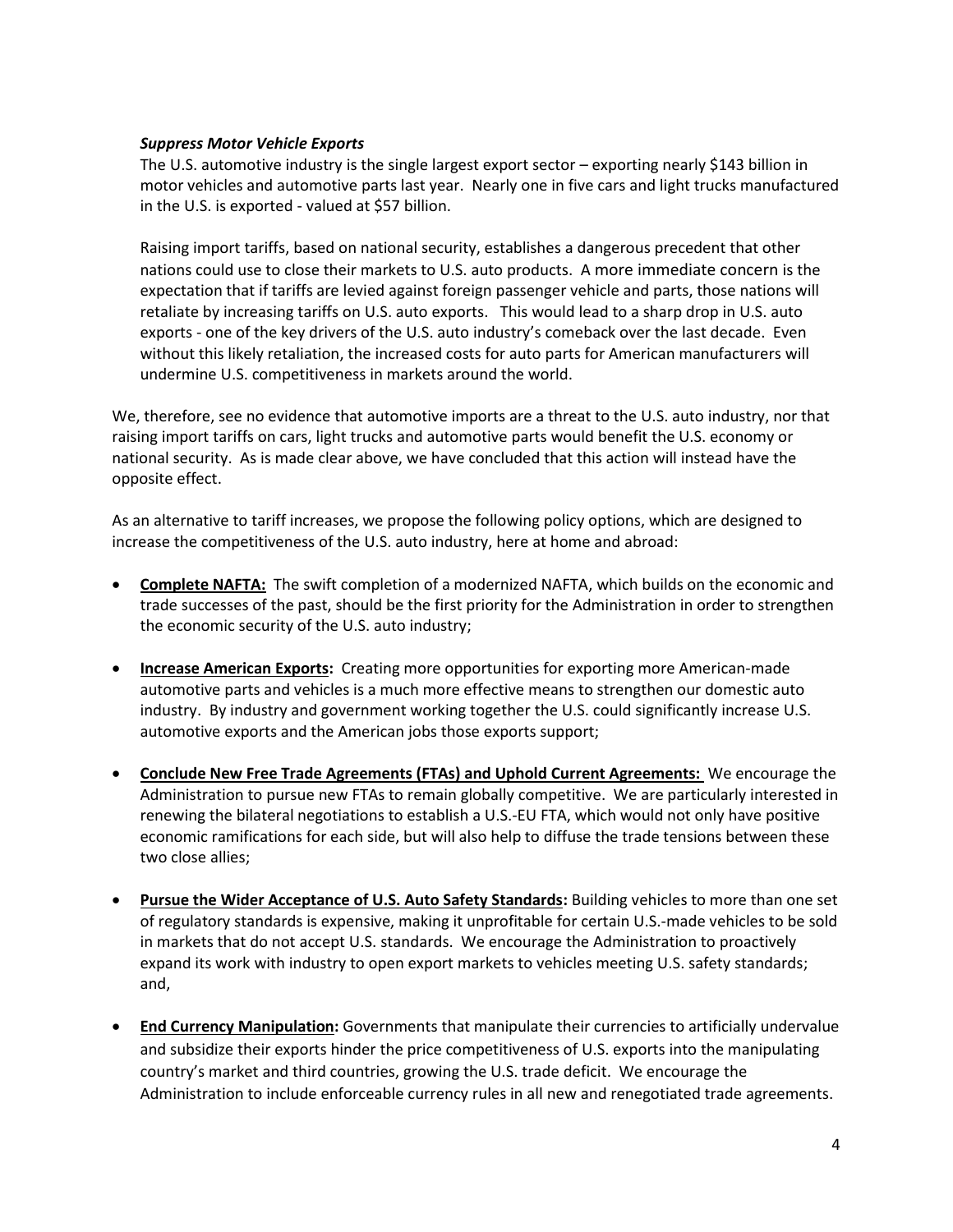### *Suppress Motor Vehicle Exports*

The U.S. automotive industry is the single largest export sector – exporting nearly \$143 billion in motor vehicles and automotive parts last year. Nearly one in five cars and light trucks manufactured in the U.S. is exported - valued at \$57 billion.

Raising import tariffs, based on national security, establishes a dangerous precedent that other nations could use to close their markets to U.S. auto products. A more immediate concern is the expectation that if tariffs are levied against foreign passenger vehicle and parts, those nations will retaliate by increasing tariffs on U.S. auto exports. This would lead to a sharp drop in U.S. auto exports - one of the key drivers of the U.S. auto industry's comeback over the last decade. Even without this likely retaliation, the increased costs for auto parts for American manufacturers will undermine U.S. competitiveness in markets around the world.

We, therefore, see no evidence that automotive imports are a threat to the U.S. auto industry, nor that raising import tariffs on cars, light trucks and automotive parts would benefit the U.S. economy or national security. As is made clear above, we have concluded that this action will instead have the opposite effect.

As an alternative to tariff increases, we propose the following policy options, which are designed to increase the competitiveness of the U.S. auto industry, here at home and abroad:

- **Complete NAFTA:** The swift completion of a modernized NAFTA, which builds on the economic and trade successes of the past, should be the first priority for the Administration in order to strengthen the economic security of the U.S. auto industry;
- **Increase American Exports:** Creating more opportunities for exporting more American-made automotive parts and vehicles is a much more effective means to strengthen our domestic auto industry. By industry and government working together the U.S. could significantly increase U.S. automotive exports and the American jobs those exports support;
- **Conclude New Free Trade Agreements (FTAs) and Uphold Current Agreements:** We encourage the Administration to pursue new FTAs to remain globally competitive. We are particularly interested in renewing the bilateral negotiations to establish a U.S.-EU FTA, which would not only have positive economic ramifications for each side, but will also help to diffuse the trade tensions between these two close allies;
- **Pursue the Wider Acceptance of U.S. Auto Safety Standards:** Building vehicles to more than one set of regulatory standards is expensive, making it unprofitable for certain U.S.-made vehicles to be sold in markets that do not accept U.S. standards. We encourage the Administration to proactively expand its work with industry to open export markets to vehicles meeting U.S. safety standards; and,
- **End Currency Manipulation:** Governments that manipulate their currencies to artificially undervalue and subsidize their exports hinder the price competitiveness of U.S. exports into the manipulating country's market and third countries, growing the U.S. trade deficit. We encourage the Administration to include enforceable currency rules in all new and renegotiated trade agreements.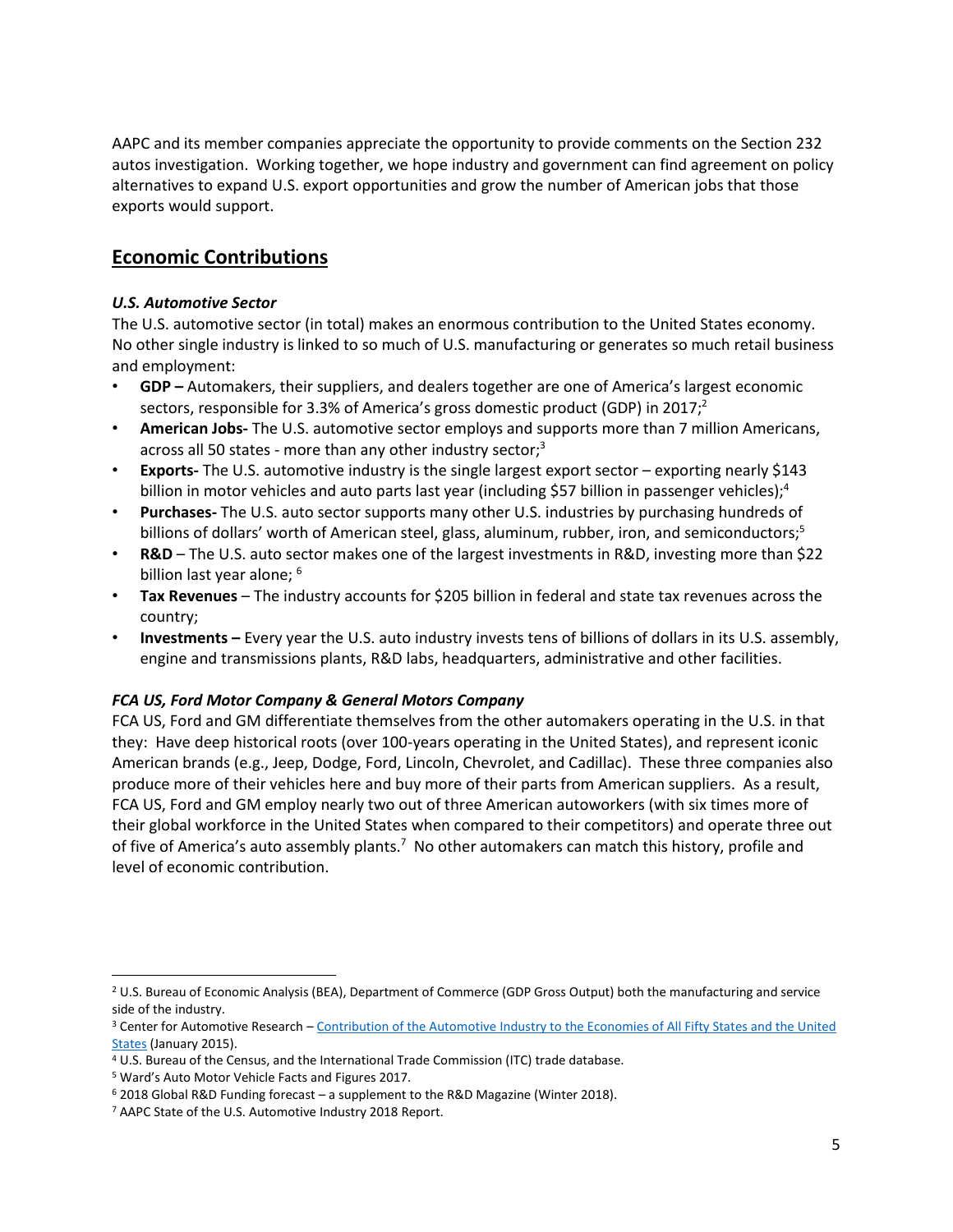AAPC and its member companies appreciate the opportunity to provide comments on the Section 232 autos investigation. Working together, we hope industry and government can find agreement on policy alternatives to expand U.S. export opportunities and grow the number of American jobs that those exports would support.

# **Economic Contributions**

## *U.S. Automotive Sector*

The U.S. automotive sector (in total) makes an enormous contribution to the United States economy. No other single industry is linked to so much of U.S. manufacturing or generates so much retail business and employment:

- **GDP –** Automakers, their suppliers, and dealers together are one of America's largest economic sectors, responsible for 3.3% of America's gross domestic product (GDP) in 2017;<sup>2</sup>
- **American Jobs-** The U.S. automotive sector employs and supports more than 7 million Americans, across all 50 states - more than any other industry sector;<sup>3</sup>
- **Exports-** The U.S. automotive industry is the single largest export sector exporting nearly \$143 billion in motor vehicles and auto parts last year (including \$57 billion in passenger vehicles);<sup>4</sup>
- **Purchases-** The U.S. auto sector supports many other U.S. industries by purchasing hundreds of billions of dollars' worth of American steel, glass, aluminum, rubber, iron, and semiconductors;<sup>5</sup>
- **R&D** The U.S. auto sector makes one of the largest investments in R&D, investing more than \$22 billion last year alone; <sup>6</sup>
- **Tax Revenues** The industry accounts for \$205 billion in federal and state tax revenues across the country;
- **Investments –** Every year the U.S. auto industry invests tens of billions of dollars in its U.S. assembly, engine and transmissions plants, R&D labs, headquarters, administrative and other facilities.

## *FCA US, Ford Motor Company & General Motors Company*

FCA US, Ford and GM differentiate themselves from the other automakers operating in the U.S. in that they: Have deep historical roots (over 100-years operating in the United States), and represent iconic American brands (e.g., Jeep, Dodge, Ford, Lincoln, Chevrolet, and Cadillac). These three companies also produce more of their vehicles here and buy more of their parts from American suppliers. As a result, FCA US, Ford and GM employ nearly two out of three American autoworkers (with six times more of their global workforce in the United States when compared to their competitors) and operate three out of five of America's auto assembly plants.<sup>7</sup> No other automakers can match this history, profile and level of economic contribution.

l <sup>2</sup> U.S. Bureau of Economic Analysis (BEA), Department of Commerce (GDP Gross Output) both the manufacturing and service side of the industry.

<sup>3</sup> Center for Automotive Research – [Contribution of the Automotive Industry to the Economies of All Fifty States and the United](https://www.cargroup.org/publication/contribution-of-the-automotive-industry-to-the-economies-of-all-fifty-states-and-the-united-states/)  [States](https://www.cargroup.org/publication/contribution-of-the-automotive-industry-to-the-economies-of-all-fifty-states-and-the-united-states/) (January 2015).

<sup>4</sup> U.S. Bureau of the Census, and the International Trade Commission (ITC) trade database.

<sup>5</sup> Ward's Auto Motor Vehicle Facts and Figures 2017.

<sup>6</sup> 2018 Global R&D Funding forecast – a supplement to the R&D Magazine (Winter 2018).

<sup>7</sup> AAPC State of the U.S. Automotive Industry 2018 Report.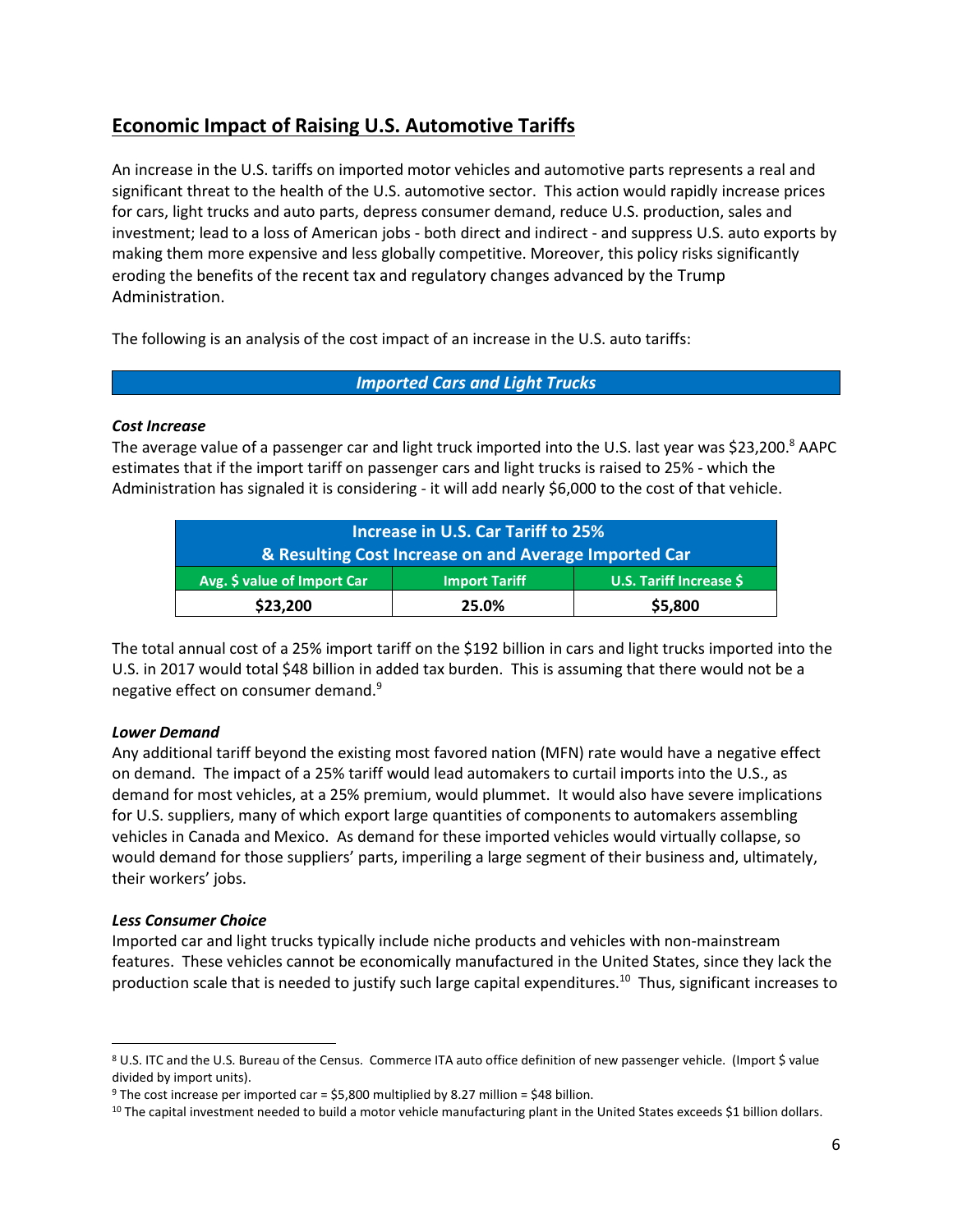# **Economic Impact of Raising U.S. Automotive Tariffs**

An increase in the U.S. tariffs on imported motor vehicles and automotive parts represents a real and significant threat to the health of the U.S. automotive sector. This action would rapidly increase prices for cars, light trucks and auto parts, depress consumer demand, reduce U.S. production, sales and investment; lead to a loss of American jobs - both direct and indirect - and suppress U.S. auto exports by making them more expensive and less globally competitive. Moreover, this policy risks significantly eroding the benefits of the recent tax and regulatory changes advanced by the Trump Administration.

The following is an analysis of the cost impact of an increase in the U.S. auto tariffs:

*Imported Cars and Light Trucks*

### *Cost Increase*

The average value of a passenger car and light truck imported into the U.S. last year was \$23,200.<sup>8</sup> AAPC estimates that if the import tariff on passenger cars and light trucks is raised to 25% - which the Administration has signaled it is considering - it will add nearly \$6,000 to the cost of that vehicle.

| Increase in U.S. Car Tariff to 25%                    |                      |                         |  |  |
|-------------------------------------------------------|----------------------|-------------------------|--|--|
| & Resulting Cost Increase on and Average Imported Car |                      |                         |  |  |
| Avg. \$ value of Import Car                           | <b>Import Tariff</b> | U.S. Tariff Increase \$ |  |  |
| \$23,200                                              | 25.0%                | \$5,800                 |  |  |

The total annual cost of a 25% import tariff on the \$192 billion in cars and light trucks imported into the U.S. in 2017 would total \$48 billion in added tax burden. This is assuming that there would not be a negative effect on consumer demand.<sup>9</sup>

## *Lower Demand*

Any additional tariff beyond the existing most favored nation (MFN) rate would have a negative effect on demand. The impact of a 25% tariff would lead automakers to curtail imports into the U.S., as demand for most vehicles, at a 25% premium, would plummet. It would also have severe implications for U.S. suppliers, many of which export large quantities of components to automakers assembling vehicles in Canada and Mexico. As demand for these imported vehicles would virtually collapse, so would demand for those suppliers' parts, imperiling a large segment of their business and, ultimately, their workers' jobs.

### *Less Consumer Choice*

 $\overline{\phantom{a}}$ 

Imported car and light trucks typically include niche products and vehicles with non-mainstream features. These vehicles cannot be economically manufactured in the United States, since they lack the production scale that is needed to justify such large capital expenditures.<sup>10</sup> Thus, significant increases to

<sup>8</sup> U.S. ITC and the U.S. Bureau of the Census. Commerce ITA auto office definition of new passenger vehicle. (Import \$ value divided by import units).

<sup>9</sup> The cost increase per imported car = \$5,800 multiplied by 8.27 million = \$48 billion.

 $10$  The capital investment needed to build a motor vehicle manufacturing plant in the United States exceeds \$1 billion dollars.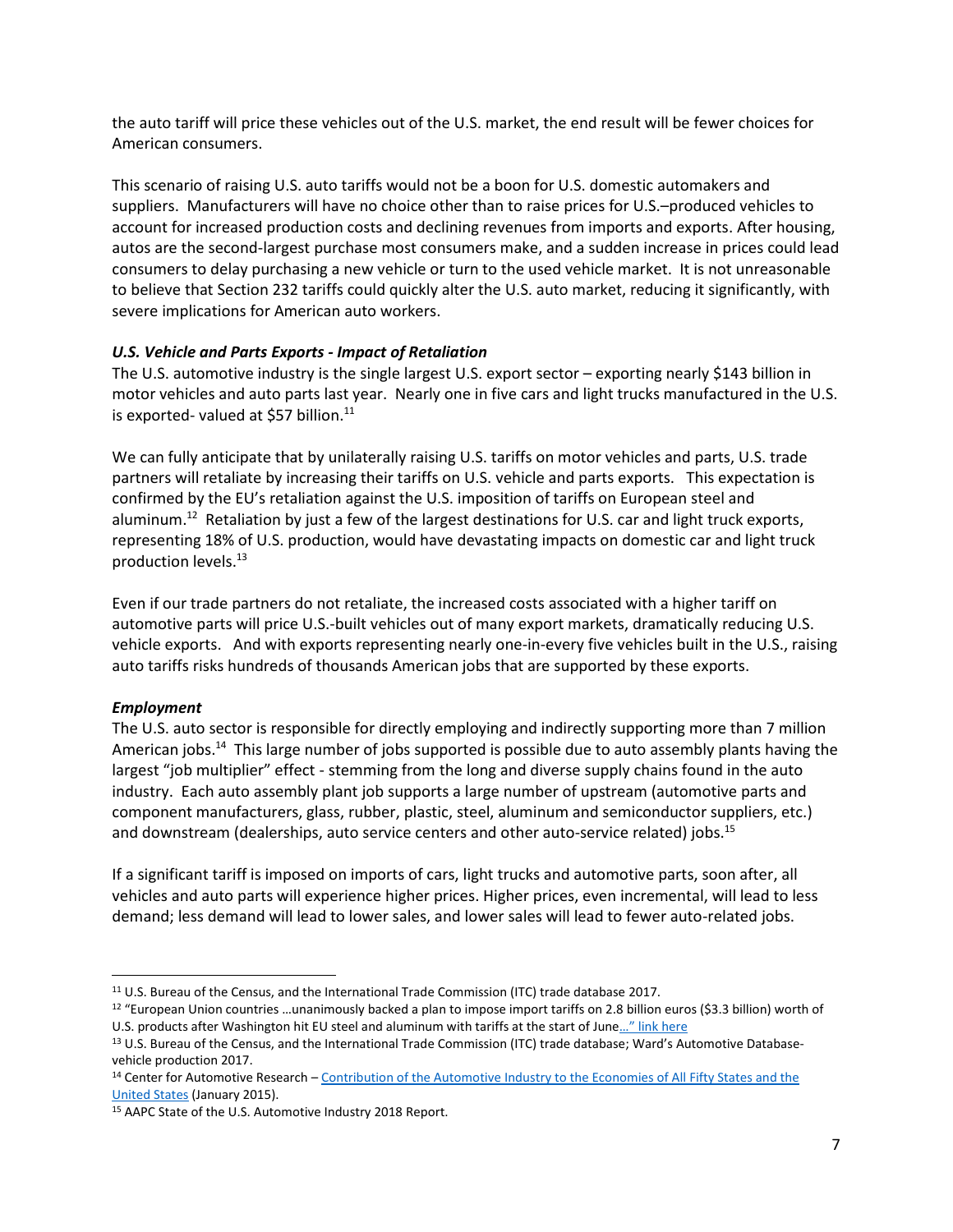the auto tariff will price these vehicles out of the U.S. market, the end result will be fewer choices for American consumers.

This scenario of raising U.S. auto tariffs would not be a boon for U.S. domestic automakers and suppliers. Manufacturers will have no choice other than to raise prices for U.S.–produced vehicles to account for increased production costs and declining revenues from imports and exports. After housing, autos are the second-largest purchase most consumers make, and a sudden increase in prices could lead consumers to delay purchasing a new vehicle or turn to the used vehicle market. It is not unreasonable to believe that Section 232 tariffs could quickly alter the U.S. auto market, reducing it significantly, with severe implications for American auto workers.

### *U.S. Vehicle and Parts Exports - Impact of Retaliation*

The U.S. automotive industry is the single largest U.S. export sector – exporting nearly \$143 billion in motor vehicles and auto parts last year. Nearly one in five cars and light trucks manufactured in the U.S. is exported- valued at \$57 billion.<sup>11</sup>

We can fully anticipate that by unilaterally raising U.S. tariffs on motor vehicles and parts, U.S. trade partners will retaliate by increasing their tariffs on U.S. vehicle and parts exports. This expectation is confirmed by the EU's retaliation against the U.S. imposition of tariffs on European steel and aluminum.<sup>12</sup> Retaliation by just a few of the largest destinations for U.S. car and light truck exports, representing 18% of U.S. production, would have devastating impacts on domestic car and light truck production levels.<sup>13</sup>

Even if our trade partners do not retaliate, the increased costs associated with a higher tariff on automotive parts will price U.S.-built vehicles out of many export markets, dramatically reducing U.S. vehicle exports. And with exports representing nearly one-in-every five vehicles built in the U.S., raising auto tariffs risks hundreds of thousands American jobs that are supported by these exports.

### *Employment*

l

The U.S. auto sector is responsible for directly employing and indirectly supporting more than 7 million American jobs.<sup>14</sup> This large number of jobs supported is possible due to auto assembly plants having the largest "job multiplier" effect - stemming from the long and diverse supply chains found in the auto industry. Each auto assembly plant job supports a large number of upstream (automotive parts and component manufacturers, glass, rubber, plastic, steel, aluminum and semiconductor suppliers, etc.) and downstream (dealerships, auto service centers and other auto-service related) jobs.<sup>15</sup>

If a significant tariff is imposed on imports of cars, light trucks and automotive parts, soon after, all vehicles and auto parts will experience higher prices. Higher prices, even incremental, will lead to less demand; less demand will lead to lower sales, and lower sales will lead to fewer auto-related jobs.

<sup>11</sup> U.S. Bureau of the Census, and the International Trade Commission (ITC) trade database 2017.

<sup>12 &</sup>quot;European Union countries ...unanimously backed a plan to impose import tariffs on 2.8 billion euros (\$3.3 billion) worth of U.S. products after Washington hit EU steel and aluminum with tariffs at the start of June[…" link here](https://www.reuters.com/article/us-usa-trade-eu/eu-countries-back-counter-measures-against-u-s-steel-tariffs-idUSKBN1JA27W)

<sup>&</sup>lt;sup>13</sup> U.S. Bureau of the Census, and the International Trade Commission (ITC) trade database; Ward's Automotive Databasevehicle production 2017.

<sup>14</sup> Center for Automotive Research – Contribution of the Automotive Industry to the Economies of All Fifty States and the [United States](https://www.cargroup.org/publication/contribution-of-the-automotive-industry-to-the-economies-of-all-fifty-states-and-the-united-states/) (January 2015).

<sup>15</sup> AAPC State of the U.S. Automotive Industry 2018 Report.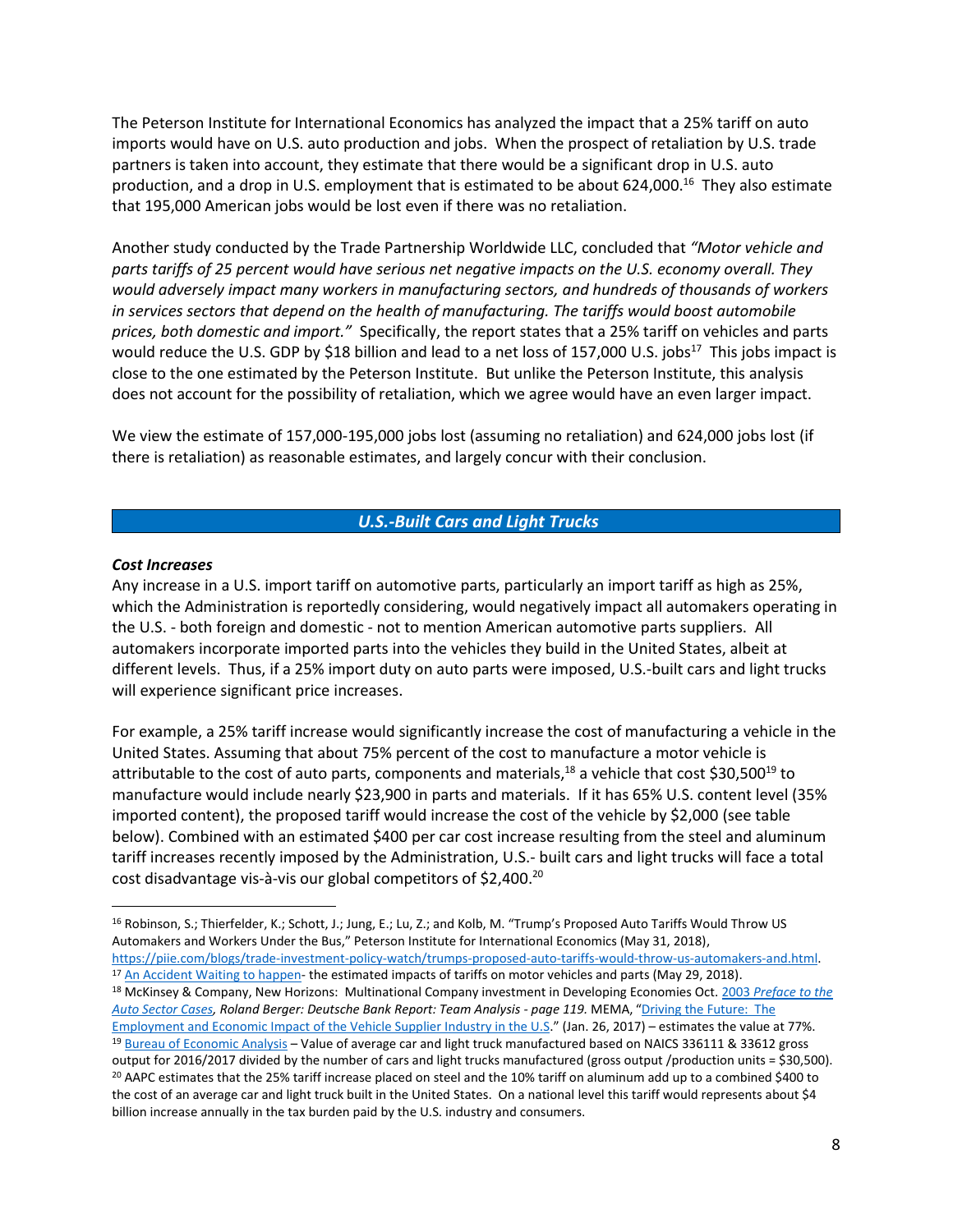The Peterson Institute for International Economics has analyzed the impact that a 25% tariff on auto imports would have on U.S. auto production and jobs. When the prospect of retaliation by U.S. trade partners is taken into account, they estimate that there would be a significant drop in U.S. auto production, and a drop in U.S. employment that is estimated to be about 624,000.<sup>16</sup> They also estimate that 195,000 American jobs would be lost even if there was no retaliation.

Another study conducted by the Trade Partnership Worldwide LLC, concluded that *"Motor vehicle and parts tariffs of 25 percent would have serious net negative impacts on the U.S. economy overall. They would adversely impact many workers in manufacturing sectors, and hundreds of thousands of workers in services sectors that depend on the health of manufacturing. The tariffs would boost automobile prices, both domestic and import."* Specifically, the report states that a 25% tariff on vehicles and parts would reduce the U.S. GDP by \$18 billion and lead to a net loss of 157,000 U.S. jobs<sup>17</sup> This jobs impact is close to the one estimated by the Peterson Institute. But unlike the Peterson Institute, this analysis does not account for the possibility of retaliation, which we agree would have an even larger impact.

We view the estimate of 157,000-195,000 jobs lost (assuming no retaliation) and 624,000 jobs lost (if there is retaliation) as reasonable estimates, and largely concur with their conclusion.

### *U.S.-Built Cars and Light Trucks*

#### *Cost Increases*

 $\overline{\phantom{a}}$ 

Any increase in a U.S. import tariff on automotive parts, particularly an import tariff as high as 25%, which the Administration is reportedly considering, would negatively impact all automakers operating in the U.S. - both foreign and domestic - not to mention American automotive parts suppliers. All automakers incorporate imported parts into the vehicles they build in the United States, albeit at different levels. Thus, if a 25% import duty on auto parts were imposed, U.S.-built cars and light trucks will experience significant price increases.

For example, a 25% tariff increase would significantly increase the cost of manufacturing a vehicle in the United States. Assuming that about 75% percent of the cost to manufacture a motor vehicle is attributable to the cost of auto parts, components and materials,<sup>18</sup> a vehicle that cost \$30,500<sup>19</sup> to manufacture would include nearly \$23,900 in parts and materials. If it has 65% U.S. content level (35% imported content), the proposed tariff would increase the cost of the vehicle by \$2,000 (see table below). Combined with an estimated \$400 per car cost increase resulting from the steel and aluminum tariff increases recently imposed by the Administration, U.S.- built cars and light trucks will face a total cost disadvantage vis-à-vis our global competitors of \$2,400.<sup>20</sup>

<sup>16</sup> Robinson, S.; Thierfelder, K.; Schott, J.; Jung, E.; Lu, Z.; and Kolb, M. "Trump's Proposed Auto Tariffs Would Throw US Automakers and Workers Under the Bus," Peterson Institute for International Economics (May 31, 2018), [https://piie.com/blogs/trade-investment-policy-watch/trumps-proposed-auto-tariffs-would-throw-us-automakers-and.html.](https://piie.com/blogs/trade-investment-policy-watch/trumps-proposed-auto-tariffs-would-throw-us-automakers-and.html) 

<sup>&</sup>lt;sup>17</sup> [An Accident Waiting to happen-](http://tradepartnership.com/wp-content/uploads/2018/05/232_Auto_PolicyPaperFINAL.pdf) the estimated impacts of tariffs on motor vehicles and parts (May 29, 2018). <sup>18</sup> McKinsey & Company, New Horizons:Multinational Company investment in Developing Economies Oct. 2003 *[Preface to the](https://www.mckinsey.com/~/media/McKinsey/Business%20Functions/McKinsey%20Digital/Our%20Insights/New%20horizons%20for%20multinational%20company%20investment/MGI_Multinational_company_investment_in_developing_economies_Full_Report.ashx)  [Auto Sector Cases,](https://www.mckinsey.com/~/media/McKinsey/Business%20Functions/McKinsey%20Digital/Our%20Insights/New%20horizons%20for%20multinational%20company%20investment/MGI_Multinational_company_investment_in_developing_economies_Full_Report.ashx) Roland Berger: Deutsche Bank Report: Team Analysis - page 119.* MEMA, "[Driving the Future: The](https://www.mema.org/sites/default/files/MEMA_ImpactBook.pdf.)  [Employment and Economic Impact of the Vehicle Supplier Industry in the U.S](https://www.mema.org/sites/default/files/MEMA_ImpactBook.pdf.)." (Jan. 26, 2017) – estimates the value at 77%. <sup>19</sup> [Bureau of Economic Analysis](https://www.bea.gov/industry/gdpbyind_data.htm) – Value of average car and light truck manufactured based on NAICS 336111 & 33612 gross output for 2016/2017 divided by the number of cars and light trucks manufactured (gross output /production units = \$30,500). <sup>20</sup> AAPC estimates that the 25% tariff increase placed on steel and the 10% tariff on aluminum add up to a combined \$400 to the cost of an average car and light truck built in the United States. On a national level this tariff would represents about \$4 billion increase annually in the tax burden paid by the U.S. industry and consumers.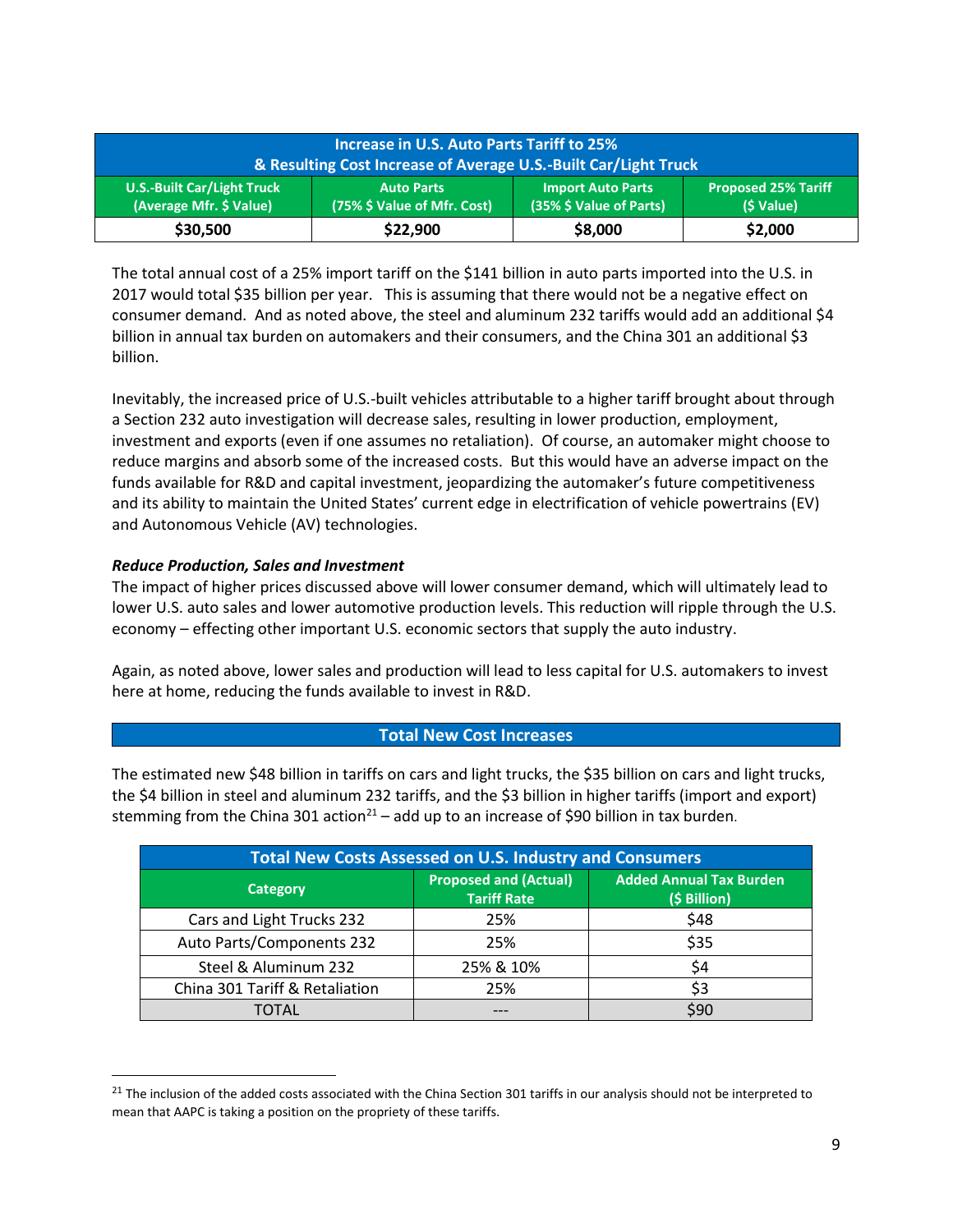| <b>Increase in U.S. Auto Parts Tariff to 25%</b><br><b>&amp; Resulting Cost Increase of Average U.S.-Built Car/Light Truck</b> |                                                  |                                                     |                                          |  |
|--------------------------------------------------------------------------------------------------------------------------------|--------------------------------------------------|-----------------------------------------------------|------------------------------------------|--|
| <b>U.S.-Built Car/Light Truck</b><br>(Average Mfr. \$ Value)                                                                   | <b>Auto Parts</b><br>(75% \$ Value of Mfr. Cost) | <b>Import Auto Parts</b><br>(35% \$ Value of Parts) | <b>Proposed 25% Tariff</b><br>(\$ Value) |  |
| \$30,500                                                                                                                       | \$22,900                                         | \$8,000                                             | \$2,000                                  |  |

The total annual cost of a 25% import tariff on the \$141 billion in auto parts imported into the U.S. in 2017 would total \$35 billion per year. This is assuming that there would not be a negative effect on consumer demand. And as noted above, the steel and aluminum 232 tariffs would add an additional \$4 billion in annual tax burden on automakers and their consumers, and the China 301 an additional \$3 billion.

Inevitably, the increased price of U.S.-built vehicles attributable to a higher tariff brought about through a Section 232 auto investigation will decrease sales, resulting in lower production, employment, investment and exports (even if one assumes no retaliation). Of course, an automaker might choose to reduce margins and absorb some of the increased costs. But this would have an adverse impact on the funds available for R&D and capital investment, jeopardizing the automaker's future competitiveness and its ability to maintain the United States' current edge in electrification of vehicle powertrains (EV) and Autonomous Vehicle (AV) technologies.

### *Reduce Production, Sales and Investment*

 $\overline{\phantom{a}}$ 

The impact of higher prices discussed above will lower consumer demand, which will ultimately lead to lower U.S. auto sales and lower automotive production levels. This reduction will ripple through the U.S. economy – effecting other important U.S. economic sectors that supply the auto industry.

Again, as noted above, lower sales and production will lead to less capital for U.S. automakers to invest here at home, reducing the funds available to invest in R&D.

### **Total New Cost Increases**

The estimated new \$48 billion in tariffs on cars and light trucks, the \$35 billion on cars and light trucks, the \$4 billion in steel and aluminum 232 tariffs, and the \$3 billion in higher tariffs (import and export) stemming from the China 301 action<sup>21</sup> – add up to an increase of \$90 billion in tax burden.

| <b>Total New Costs Assessed on U.S. Industry and Consumers</b> |                                                    |                                                |  |  |
|----------------------------------------------------------------|----------------------------------------------------|------------------------------------------------|--|--|
| <b>Category</b>                                                | <b>Proposed and (Actual)</b><br><b>Tariff Rate</b> | <b>Added Annual Tax Burden</b><br>(\$ Billion) |  |  |
| Cars and Light Trucks 232                                      | 25%                                                | \$48                                           |  |  |
| Auto Parts/Components 232                                      | 25%                                                | \$35                                           |  |  |
| Steel & Aluminum 232                                           | 25% & 10%                                          | \$4                                            |  |  |
| China 301 Tariff & Retaliation                                 | 25%                                                | \$3                                            |  |  |
| <b>TOTAL</b>                                                   |                                                    | \$90                                           |  |  |

<sup>&</sup>lt;sup>21</sup> The inclusion of the added costs associated with the China Section 301 tariffs in our analysis should not be interpreted to mean that AAPC is taking a position on the propriety of these tariffs.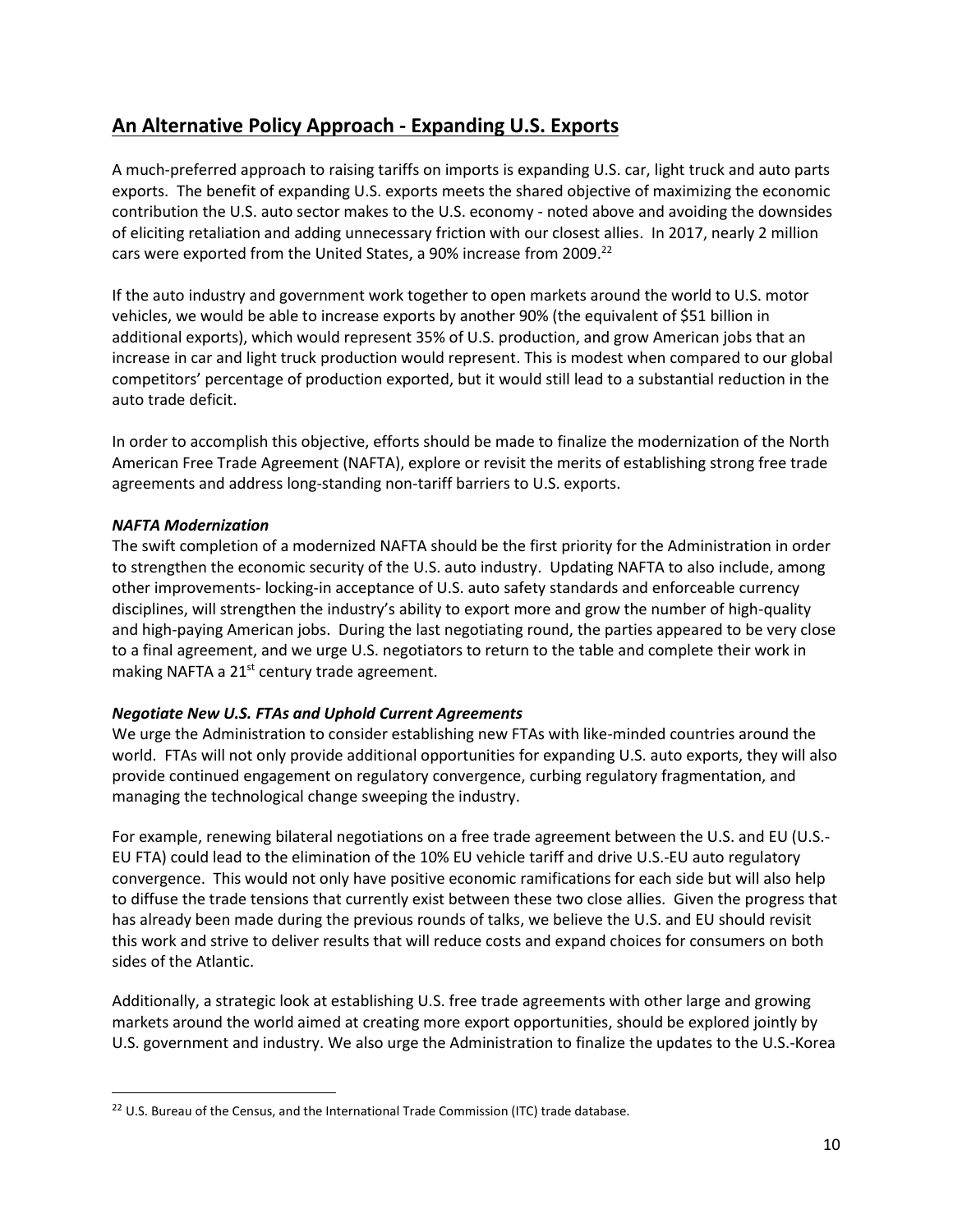# **An Alternative Policy Approach - Expanding U.S. Exports**

A much-preferred approach to raising tariffs on imports is expanding U.S. car, light truck and auto parts exports. The benefit of expanding U.S. exports meets the shared objective of maximizing the economic contribution the U.S. auto sector makes to the U.S. economy - noted above and avoiding the downsides of eliciting retaliation and adding unnecessary friction with our closest allies. In 2017, nearly 2 million cars were exported from the United States, a 90% increase from 2009. $^{22}$ 

If the auto industry and government work together to open markets around the world to U.S. motor vehicles, we would be able to increase exports by another 90% (the equivalent of \$51 billion in additional exports), which would represent 35% of U.S. production, and grow American jobs that an increase in car and light truck production would represent. This is modest when compared to our global competitors' percentage of production exported, but it would still lead to a substantial reduction in the auto trade deficit.

In order to accomplish this objective, efforts should be made to finalize the modernization of the North American Free Trade Agreement (NAFTA), explore or revisit the merits of establishing strong free trade agreements and address long-standing non-tariff barriers to U.S. exports.

## *NAFTA Modernization*

 $\overline{\phantom{a}}$ 

The swift completion of a modernized NAFTA should be the first priority for the Administration in order to strengthen the economic security of the U.S. auto industry. Updating NAFTA to also include, among other improvements- locking-in acceptance of U.S. auto safety standards and enforceable currency disciplines, will strengthen the industry's ability to export more and grow the number of high-quality and high-paying American jobs. During the last negotiating round, the parties appeared to be very close to a final agreement, and we urge U.S. negotiators to return to the table and complete their work in making NAFTA a 21<sup>st</sup> century trade agreement.

## *Negotiate New U.S. FTAs and Uphold Current Agreements*

We urge the Administration to consider establishing new FTAs with like-minded countries around the world. FTAs will not only provide additional opportunities for expanding U.S. auto exports, they will also provide continued engagement on regulatory convergence, curbing regulatory fragmentation, and managing the technological change sweeping the industry.

For example, renewing bilateral negotiations on a free trade agreement between the U.S. and EU (U.S.- EU FTA) could lead to the elimination of the 10% EU vehicle tariff and drive U.S.-EU auto regulatory convergence. This would not only have positive economic ramifications for each side but will also help to diffuse the trade tensions that currently exist between these two close allies. Given the progress that has already been made during the previous rounds of talks, we believe the U.S. and EU should revisit this work and strive to deliver results that will reduce costs and expand choices for consumers on both sides of the Atlantic.

Additionally, a strategic look at establishing U.S. free trade agreements with other large and growing markets around the world aimed at creating more export opportunities, should be explored jointly by U.S. government and industry. We also urge the Administration to finalize the updates to the U.S.-Korea

<sup>&</sup>lt;sup>22</sup> U.S. Bureau of the Census, and the International Trade Commission (ITC) trade database.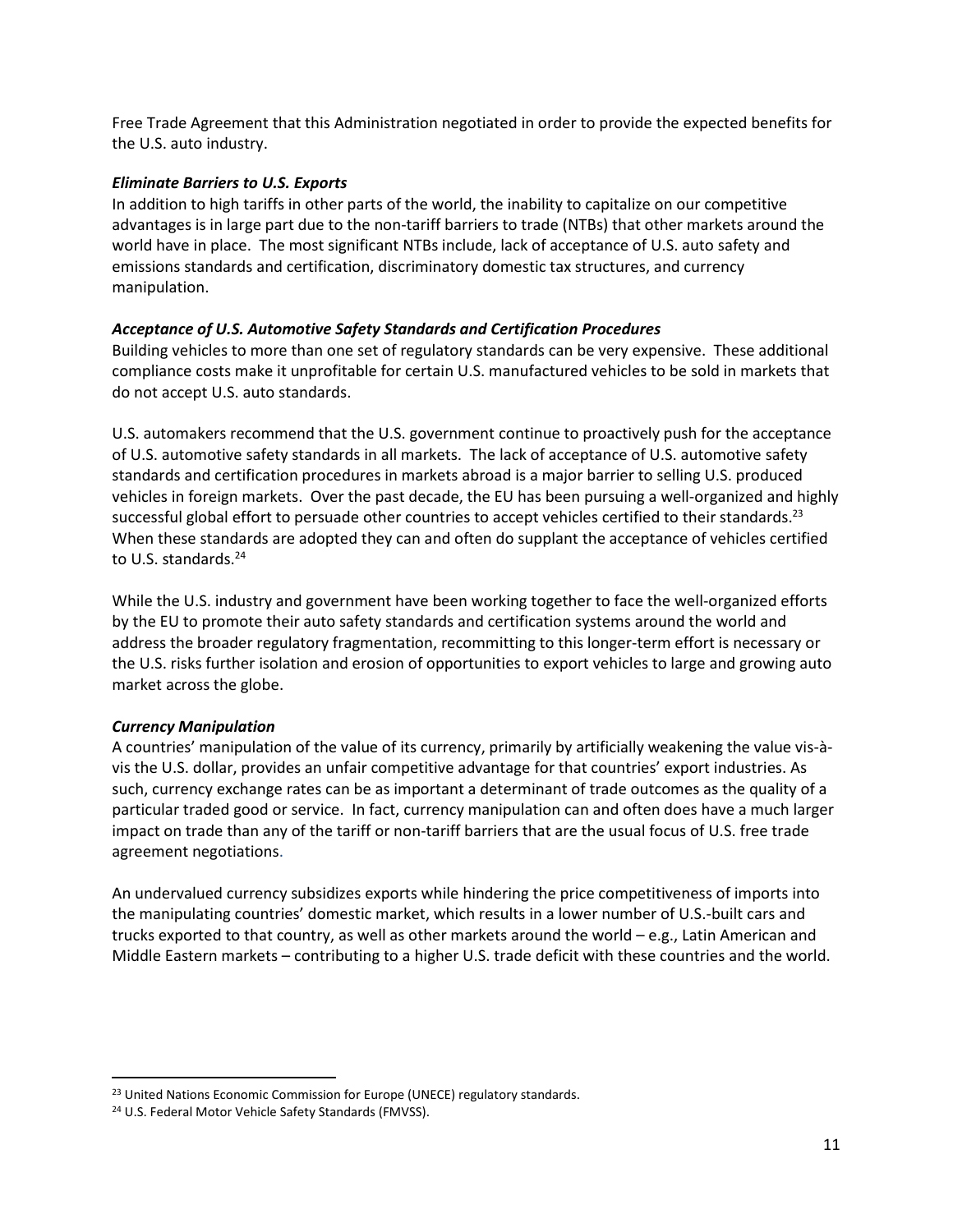Free Trade Agreement that this Administration negotiated in order to provide the expected benefits for the U.S. auto industry.

### *Eliminate Barriers to U.S. Exports*

In addition to high tariffs in other parts of the world, the inability to capitalize on our competitive advantages is in large part due to the non-tariff barriers to trade (NTBs) that other markets around the world have in place. The most significant NTBs include, lack of acceptance of U.S. auto safety and emissions standards and certification, discriminatory domestic tax structures, and currency manipulation.

### *Acceptance of U.S. Automotive Safety Standards and Certification Procedures*

Building vehicles to more than one set of regulatory standards can be very expensive. These additional compliance costs make it unprofitable for certain U.S. manufactured vehicles to be sold in markets that do not accept U.S. auto standards.

U.S. automakers recommend that the U.S. government continue to proactively push for the acceptance of U.S. automotive safety standards in all markets. The lack of acceptance of U.S. automotive safety standards and certification procedures in markets abroad is a major barrier to selling U.S. produced vehicles in foreign markets. Over the past decade, the EU has been pursuing a well-organized and highly successful global effort to persuade other countries to accept vehicles certified to their standards.<sup>23</sup> When these standards are adopted they can and often do supplant the acceptance of vehicles certified to U.S. standards. 24

While the U.S. industry and government have been working together to face the well-organized efforts by the EU to promote their auto safety standards and certification systems around the world and address the broader regulatory fragmentation, recommitting to this longer-term effort is necessary or the U.S. risks further isolation and erosion of opportunities to export vehicles to large and growing auto market across the globe.

### *Currency Manipulation*

 $\overline{a}$ 

A countries' manipulation of the value of its currency, primarily by artificially weakening the value vis-àvis the U.S. dollar, provides an unfair competitive advantage for that countries' export industries. As such, currency exchange rates can be as important a determinant of trade outcomes as the quality of a particular traded good or service. In fact, currency manipulation can and often does have a much larger impact on trade than any of the tariff or non-tariff barriers that are the usual focus of U.S. free trade agreement negotiations.

An undervalued currency subsidizes exports while hindering the price competitiveness of imports into the manipulating countries' domestic market, which results in a lower number of U.S.-built cars and trucks exported to that country, as well as other markets around the world – e.g., Latin American and Middle Eastern markets – contributing to a higher U.S. trade deficit with these countries and the world.

<sup>&</sup>lt;sup>23</sup> United Nations Economic Commission for Europe (UNECE) regulatory standards.

<sup>24</sup> U.S. Federal Motor Vehicle Safety Standards (FMVSS).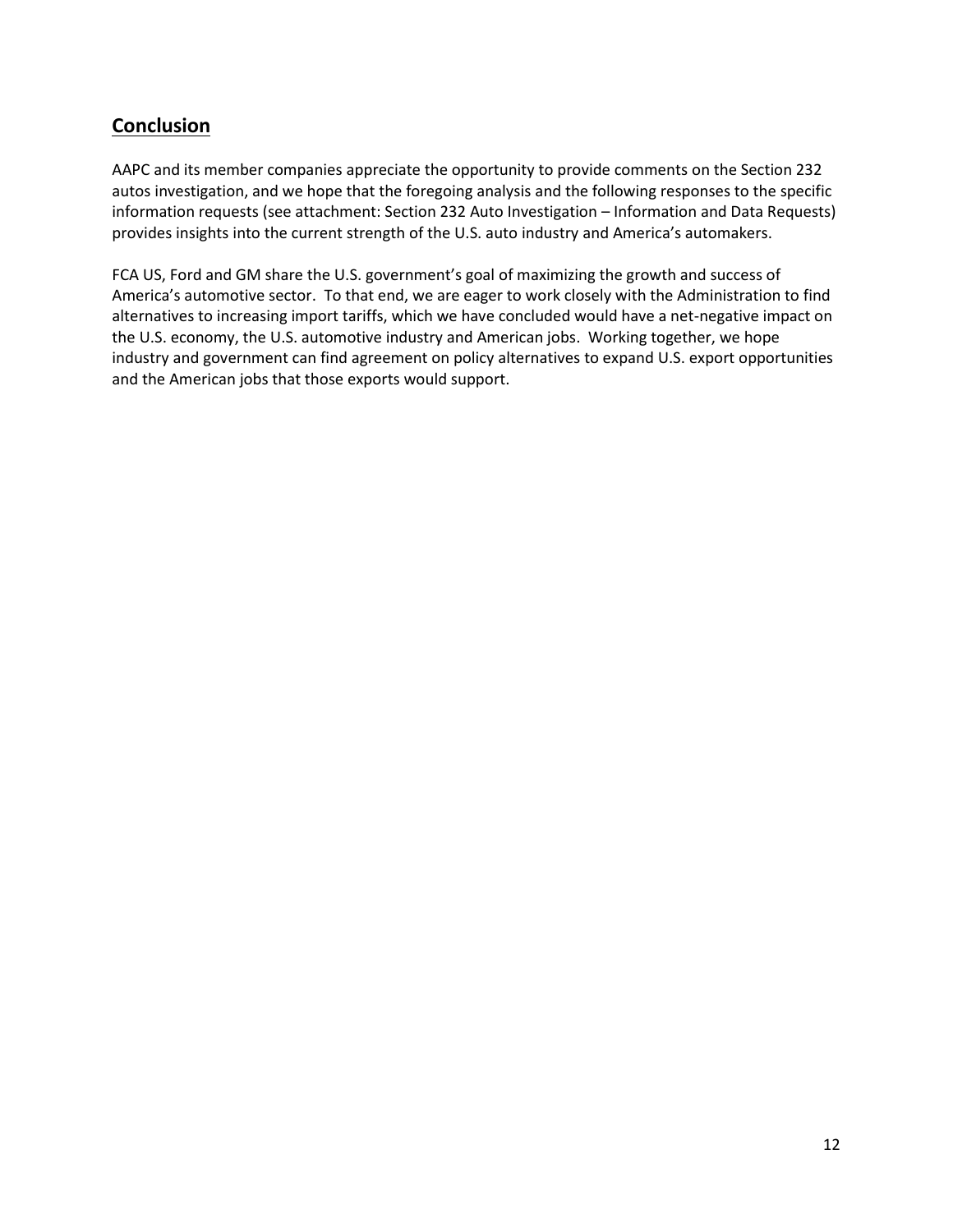# **Conclusion**

AAPC and its member companies appreciate the opportunity to provide comments on the Section 232 autos investigation, and we hope that the foregoing analysis and the following responses to the specific information requests (see attachment: Section 232 Auto Investigation – Information and Data Requests) provides insights into the current strength of the U.S. auto industry and America's automakers.

FCA US, Ford and GM share the U.S. government's goal of maximizing the growth and success of America's automotive sector. To that end, we are eager to work closely with the Administration to find alternatives to increasing import tariffs, which we have concluded would have a net-negative impact on the U.S. economy, the U.S. automotive industry and American jobs. Working together, we hope industry and government can find agreement on policy alternatives to expand U.S. export opportunities and the American jobs that those exports would support.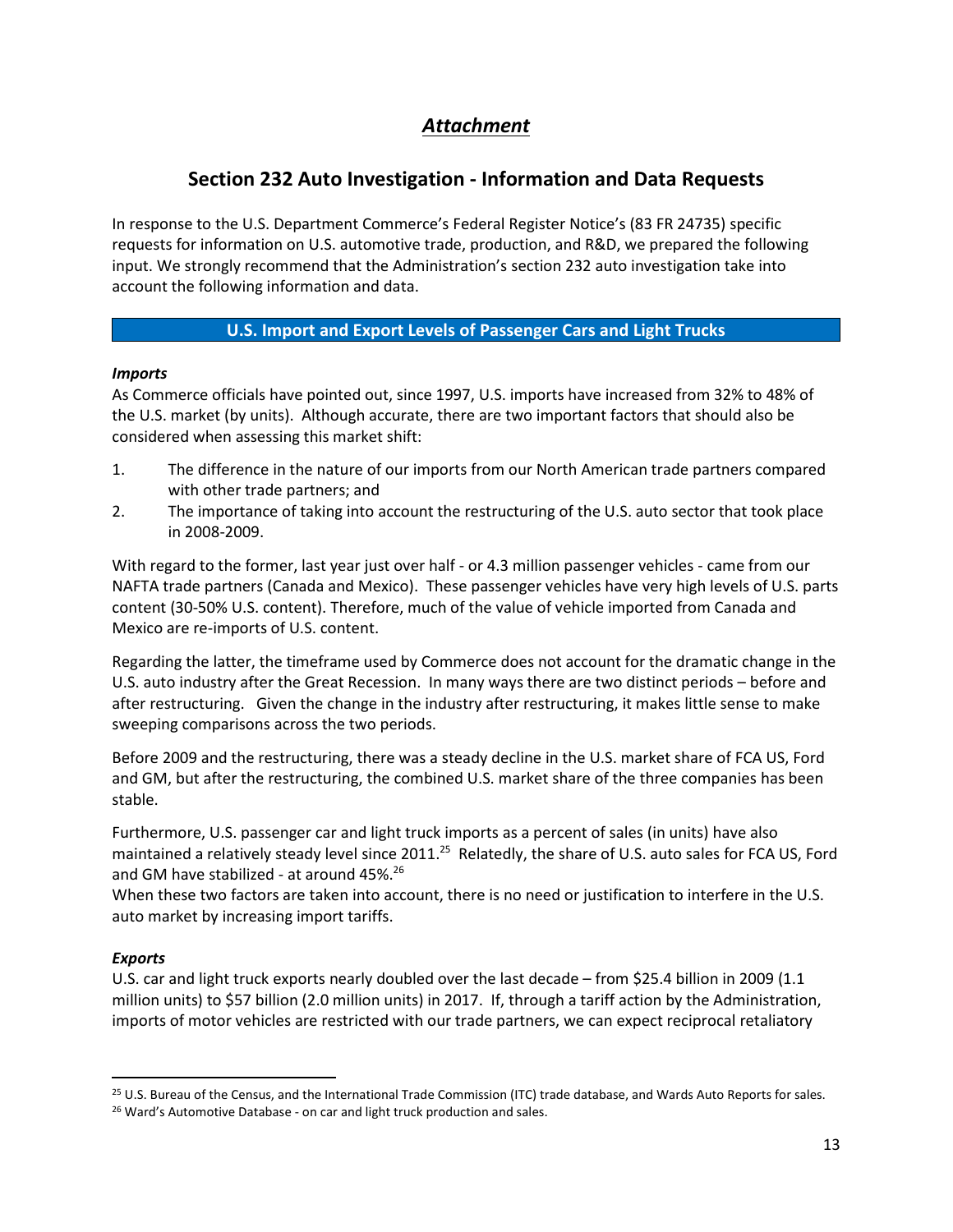# *Attachment*

# **Section 232 Auto Investigation - Information and Data Requests**

In response to the U.S. Department Commerce's Federal Register Notice's (83 FR 24735) specific requests for information on U.S. automotive trade, production, and R&D, we prepared the following input. We strongly recommend that the Administration's section 232 auto investigation take into account the following information and data.

# **U.S. Import and Export Levels of Passenger Cars and Light Trucks**

## *Imports*

As Commerce officials have pointed out, since 1997, U.S. imports have increased from 32% to 48% of the U.S. market (by units). Although accurate, there are two important factors that should also be considered when assessing this market shift:

- 1. The difference in the nature of our imports from our North American trade partners compared with other trade partners; and
- 2. The importance of taking into account the restructuring of the U.S. auto sector that took place in 2008-2009.

With regard to the former, last year just over half - or 4.3 million passenger vehicles - came from our NAFTA trade partners (Canada and Mexico). These passenger vehicles have very high levels of U.S. parts content (30-50% U.S. content). Therefore, much of the value of vehicle imported from Canada and Mexico are re-imports of U.S. content.

Regarding the latter, the timeframe used by Commerce does not account for the dramatic change in the U.S. auto industry after the Great Recession. In many ways there are two distinct periods – before and after restructuring. Given the change in the industry after restructuring, it makes little sense to make sweeping comparisons across the two periods.

Before 2009 and the restructuring, there was a steady decline in the U.S. market share of FCA US, Ford and GM, but after the restructuring, the combined U.S. market share of the three companies has been stable.

Furthermore, U.S. passenger car and light truck imports as a percent of sales (in units) have also maintained a relatively steady level since 2011.<sup>25</sup> Relatedly, the share of U.S. auto sales for FCA US, Ford and GM have stabilized - at around 45%.<sup>26</sup>

When these two factors are taken into account, there is no need or justification to interfere in the U.S. auto market by increasing import tariffs.

## *Exports*

 $\overline{a}$ 

U.S. car and light truck exports nearly doubled over the last decade – from \$25.4 billion in 2009 (1.1 million units) to \$57 billion (2.0 million units) in 2017. If, through a tariff action by the Administration, imports of motor vehicles are restricted with our trade partners, we can expect reciprocal retaliatory

<sup>25</sup> U.S. Bureau of the Census, and the International Trade Commission (ITC) trade database, and Wards Auto Reports for sales. <sup>26</sup> Ward's Automotive Database - on car and light truck production and sales.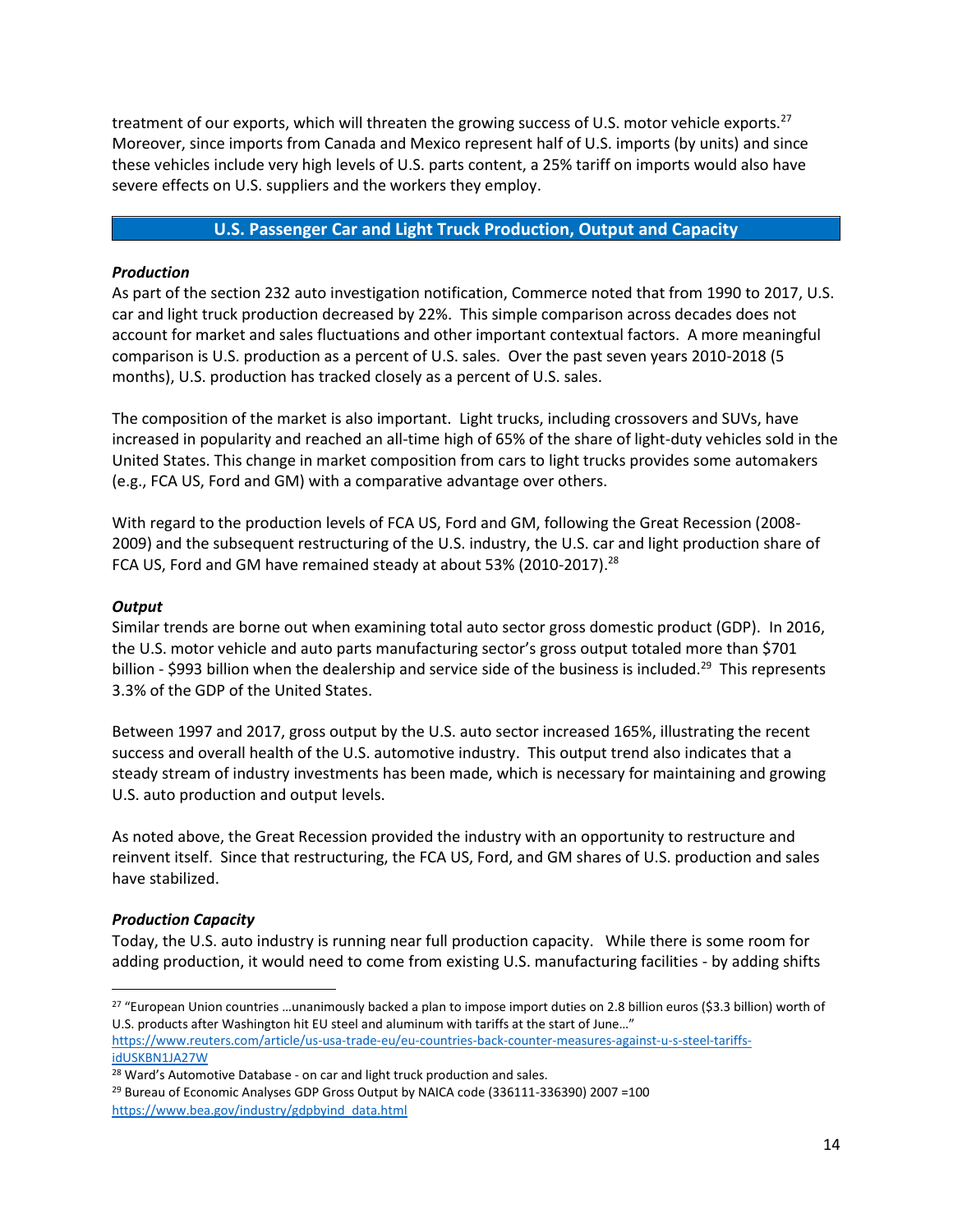treatment of our exports, which will threaten the growing success of U.S. motor vehicle exports.<sup>27</sup> Moreover, since imports from Canada and Mexico represent half of U.S. imports (by units) and since these vehicles include very high levels of U.S. parts content, a 25% tariff on imports would also have severe effects on U.S. suppliers and the workers they employ.

### **U.S. Passenger Car and Light Truck Production, Output and Capacity**

### *Production*

As part of the section 232 auto investigation notification, Commerce noted that from 1990 to 2017, U.S. car and light truck production decreased by 22%. This simple comparison across decades does not account for market and sales fluctuations and other important contextual factors. A more meaningful comparison is U.S. production as a percent of U.S. sales. Over the past seven years 2010-2018 (5 months), U.S. production has tracked closely as a percent of U.S. sales.

The composition of the market is also important. Light trucks, including crossovers and SUVs, have increased in popularity and reached an all-time high of 65% of the share of light-duty vehicles sold in the United States. This change in market composition from cars to light trucks provides some automakers (e.g., FCA US, Ford and GM) with a comparative advantage over others.

With regard to the production levels of FCA US, Ford and GM, following the Great Recession (2008- 2009) and the subsequent restructuring of the U.S. industry, the U.S. car and light production share of FCA US, Ford and GM have remained steady at about 53% (2010-2017).<sup>28</sup>

#### *Output*

Similar trends are borne out when examining total auto sector gross domestic product (GDP). In 2016, the U.S. motor vehicle and auto parts manufacturing sector's gross output totaled more than \$701 billion - \$993 billion when the dealership and service side of the business is included.<sup>29</sup> This represents 3.3% of the GDP of the United States.

Between 1997 and 2017, gross output by the U.S. auto sector increased 165%, illustrating the recent success and overall health of the U.S. automotive industry. This output trend also indicates that a steady stream of industry investments has been made, which is necessary for maintaining and growing U.S. auto production and output levels.

As noted above, the Great Recession provided the industry with an opportunity to restructure and reinvent itself. Since that restructuring, the FCA US, Ford, and GM shares of U.S. production and sales have stabilized.

### *Production Capacity*

 $\overline{a}$ 

Today, the U.S. auto industry is running near full production capacity. While there is some room for adding production, it would need to come from existing U.S. manufacturing facilities - by adding shifts

<sup>29</sup> Bureau of Economic Analyses GDP Gross Output by NAICA code (336111-336390) 2007 =100 [https://www.bea.gov/industry/gdpbyind\\_data.html](https://www.bea.gov/industry/gdpbyind_data.html)

<sup>27</sup> "European Union countries …unanimously backed a plan to impose import duties on 2.8 billion euros (\$3.3 billion) worth of U.S. products after Washington hit EU steel and aluminum with tariffs at the start of June…" [https://www.reuters.com/article/us-usa-trade-eu/eu-countries-back-counter-measures-against-u-s-steel-tariffs-](https://www.reuters.com/article/us-usa-trade-eu/eu-countries-back-counter-measures-against-u-s-steel-tariffs-idUSKBN1JA27W)

[idUSKBN1JA27W](https://www.reuters.com/article/us-usa-trade-eu/eu-countries-back-counter-measures-against-u-s-steel-tariffs-idUSKBN1JA27W)

<sup>&</sup>lt;sup>28</sup> Ward's Automotive Database - on car and light truck production and sales.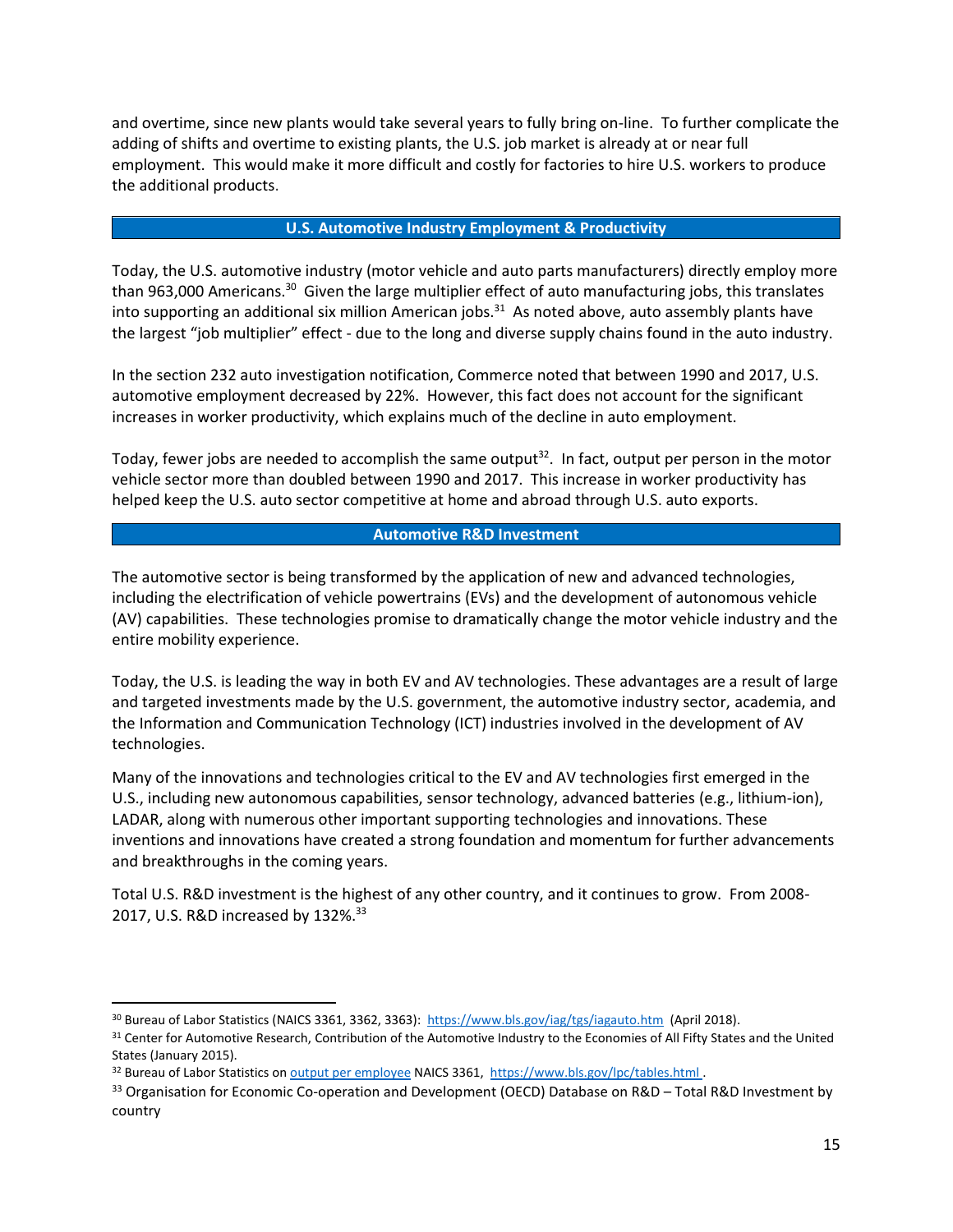and overtime, since new plants would take several years to fully bring on-line. To further complicate the adding of shifts and overtime to existing plants, the U.S. job market is already at or near full employment. This would make it more difficult and costly for factories to hire U.S. workers to produce the additional products.

#### **U.S. Automotive Industry Employment & Productivity**

Today, the U.S. automotive industry (motor vehicle and auto parts manufacturers) directly employ more than 963,000 Americans.<sup>30</sup> Given the large multiplier effect of auto manufacturing jobs, this translates into supporting an additional six million American jobs.<sup>31</sup> As noted above, auto assembly plants have the largest "job multiplier" effect - due to the long and diverse supply chains found in the auto industry.

In the section 232 auto investigation notification, Commerce noted that between 1990 and 2017, U.S. automotive employment decreased by 22%. However, this fact does not account for the significant increases in worker productivity, which explains much of the decline in auto employment.

Today, fewer jobs are needed to accomplish the same output<sup>32</sup>. In fact, output per person in the motor vehicle sector more than doubled between 1990 and 2017. This increase in worker productivity has helped keep the U.S. auto sector competitive at home and abroad through U.S. auto exports.

### **Automotive R&D Investment**

The automotive sector is being transformed by the application of new and advanced technologies, including the electrification of vehicle powertrains (EVs) and the development of autonomous vehicle (AV) capabilities. These technologies promise to dramatically change the motor vehicle industry and the entire mobility experience.

Today, the U.S. is leading the way in both EV and AV technologies. These advantages are a result of large and targeted investments made by the U.S. government, the automotive industry sector, academia, and the Information and Communication Technology (ICT) industries involved in the development of AV technologies.

Many of the innovations and technologies critical to the EV and AV technologies first emerged in the U.S., including new autonomous capabilities, sensor technology, advanced batteries (e.g., lithium-ion), LADAR, along with numerous other important supporting technologies and innovations. These inventions and innovations have created a strong foundation and momentum for further advancements and breakthroughs in the coming years.

Total U.S. R&D investment is the highest of any other country, and it continues to grow. From 2008- 2017, U.S. R&D increased by 132%.<sup>33</sup>

 $\overline{\phantom{a}}$ 

<sup>30</sup> Bureau of Labor Statistics (NAICS 3361, 3362, 3363):<https://www.bls.gov/iag/tgs/iagauto.htm>(April 2018).

<sup>&</sup>lt;sup>31</sup> Center for Automotive Research, Contribution of the Automotive Industry to the Economies of All Fifty States and the United States (January 2015).

<sup>32</sup> Bureau of Labor Statistics o[n output per employee](https://www.bls.gov/lpc/tables.htm) NAICS 3361,<https://www.bls.gov/lpc/tables.html> .

<sup>&</sup>lt;sup>33</sup> Organisation for Economic Co-operation and Development (OECD) Database on R&D – Total R&D Investment by country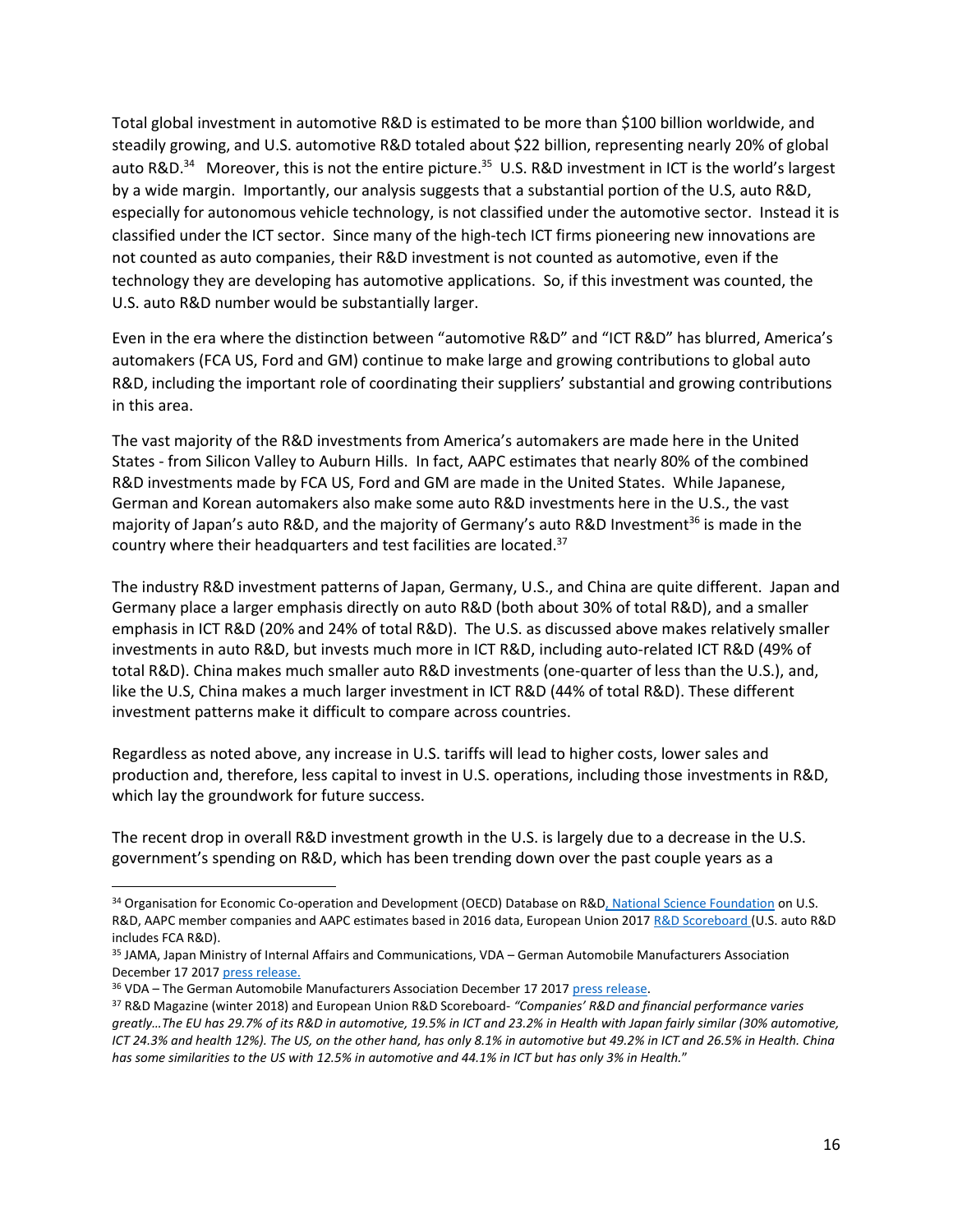Total global investment in automotive R&D is estimated to be more than \$100 billion worldwide, and steadily growing, and U.S. automotive R&D totaled about \$22 billion, representing nearly 20% of global auto R&D.<sup>34</sup> Moreover, this is not the entire picture.<sup>35</sup> U.S. R&D investment in ICT is the world's largest by a wide margin. Importantly, our analysis suggests that a substantial portion of the U.S, auto R&D, especially for autonomous vehicle technology, is not classified under the automotive sector. Instead it is classified under the ICT sector. Since many of the high-tech ICT firms pioneering new innovations are not counted as auto companies, their R&D investment is not counted as automotive, even if the technology they are developing has automotive applications. So, if this investment was counted, the U.S. auto R&D number would be substantially larger.

Even in the era where the distinction between "automotive R&D" and "ICT R&D" has blurred, America's automakers (FCA US, Ford and GM) continue to make large and growing contributions to global auto R&D, including the important role of coordinating their suppliers' substantial and growing contributions in this area.

The vast majority of the R&D investments from America's automakers are made here in the United States - from Silicon Valley to Auburn Hills. In fact, AAPC estimates that nearly 80% of the combined R&D investments made by FCA US, Ford and GM are made in the United States. While Japanese, German and Korean automakers also make some auto R&D investments here in the U.S., the vast majority of Japan's auto R&D, and the majority of Germany's auto R&D Investment<sup>36</sup> is made in the country where their headquarters and test facilities are located.<sup>37</sup>

The industry R&D investment patterns of Japan, Germany, U.S., and China are quite different. Japan and Germany place a larger emphasis directly on auto R&D (both about 30% of total R&D), and a smaller emphasis in ICT R&D (20% and 24% of total R&D). The U.S. as discussed above makes relatively smaller investments in auto R&D, but invests much more in ICT R&D, including auto-related ICT R&D (49% of total R&D). China makes much smaller auto R&D investments (one-quarter of less than the U.S.), and, like the U.S, China makes a much larger investment in ICT R&D (44% of total R&D). These different investment patterns make it difficult to compare across countries.

Regardless as noted above, any increase in U.S. tariffs will lead to higher costs, lower sales and production and, therefore, less capital to invest in U.S. operations, including those investments in R&D, which lay the groundwork for future success.

The recent drop in overall R&D investment growth in the U.S. is largely due to a decrease in the U.S. government's spending on R&D, which has been trending down over the past couple years as a

l

<sup>&</sup>lt;sup>34</sup> Organisation for Economic Co-operation and Development (OECD) Database on R&[D, National Science Foundation](https://www.nsf.gov/statistics/2017/nsf17320/) on U.S. R&D, AAPC member companies and AAPC estimates based in 2016 data, European Union 2017 [R&D Scoreboard](http://iri.jrc.ec.europa.eu/scoreboard17.html) (U.S. auto R&D includes FCA R&D).

<sup>35</sup> JAMA, Japan Ministry of Internal Affairs and Communications, VDA – German Automobile Manufacturers Association December 17 201[7 press release.](https://www.vda.de/en/press/press-releases/20171222-German-automotive-industry-invests-more-than-40-billion-euros-in-research-and-development.html)

<sup>36</sup> VDA – The German Automobile Manufacturers Association December 17 2017 [press release.](https://www.vda.de/en/press/press-releases/20171222-German-automotive-industry-invests-more-than-40-billion-euros-in-research-and-development.html)

<sup>37</sup> R&D Magazine (winter 2018) and European Union R&D Scoreboard- *"Companies' R&D and financial performance varies greatly…The EU has 29.7% of its R&D in automotive, 19.5% in ICT and 23.2% in Health with Japan fairly similar (30% automotive, ICT 24.3% and health 12%). The US, on the other hand, has only 8.1% in automotive but 49.2% in ICT and 26.5% in Health. China has some similarities to the US with 12.5% in automotive and 44.1% in ICT but has only 3% in Health.*"